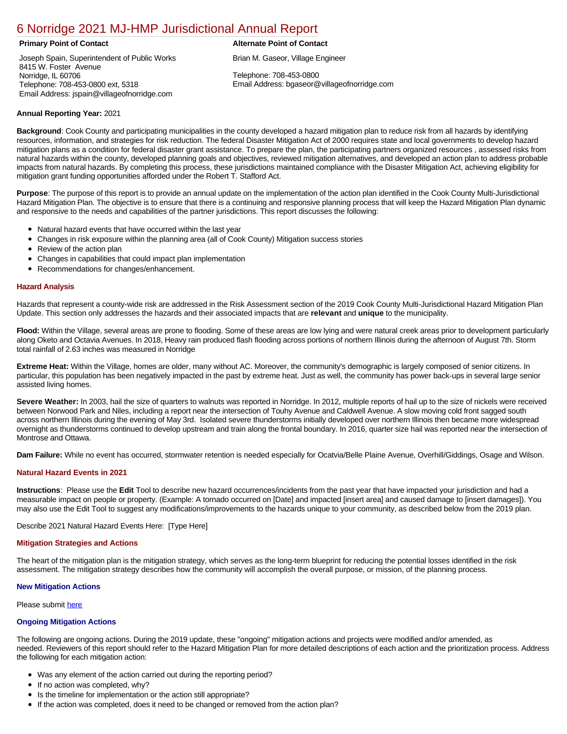# [6 Norridge 2021 MJ-HMP Jurisdictional Annual Report](https://norridge.isc-cemp.com/Cemp/Details?id=8322753)

Joseph Spain, Superintendent of Public Works 8415 W. Foster Avenue Norridge, IL 60706 Telephone: 708-453-0800 ext, 5318 Email Address: jspain@villageofnorridge.com

### **Primary Point of Contact Alternate Point of Contact**

Brian M. Gaseor, Village Engineer

Telephone: 708-453-0800 Email Address: bgaseor@villageofnorridge.com

# **Annual Reporting Year:** 2021

**Background**: Cook County and participating municipalities in the county developed a hazard mitigation plan to reduce risk from all hazards by identifying resources, information, and strategies for risk reduction. The federal Disaster Mitigation Act of 2000 requires state and local governments to develop hazard mitigation plans as a condition for federal disaster grant assistance. To prepare the plan, the participating partners organized resources , assessed risks from natural hazards within the county, developed planning goals and objectives, reviewed mitigation alternatives, and developed an action plan to address probable impacts from natural hazards. By completing this process, these jurisdictions maintained compliance with the Disaster Mitigation Act, achieving eligibility for mitigation grant funding opportunities afforded under the Robert T. Stafford Act.

**Purpose**: The purpose of this report is to provide an annual update on the implementation of the action plan identified in the Cook County Multi-Jurisdictional Hazard Mitigation Plan. The objective is to ensure that there is a continuing and responsive planning process that will keep the Hazard Mitigation Plan dynamic and responsive to the needs and capabilities of the partner jurisdictions. This report discusses the following:

- Natural hazard events that have occurred within the last year
- $\bullet$ Changes in risk exposure within the planning area (all of Cook County) Mitigation success stories
- Review of the action plan  $\bullet$
- $\bullet$ Changes in capabilities that could impact plan implementation
- Recommendations for changes/enhancement.  $\bullet$

### **Hazard Analysis**

Hazards that represent a county-wide risk are addressed in the Risk Assessment section of the 2019 Cook County Multi-Jurisdictional Hazard Mitigation Plan Update. This section only addresses the hazards and their associated impacts that are **relevant** and **unique** to the municipality.

**Flood:** Within the Village, several areas are prone to flooding. Some of these areas are low lying and were natural creek areas prior to development particularly along Oketo and Octavia Avenues. In 2018, Heavy rain produced flash flooding across portions of northern Illinois during the afternoon of August 7th. Storm total rainfall of 2.63 inches was measured in Norridge

**Extreme Heat:** Within the Village, homes are older, many without AC. Moreover, the community's demographic is largely composed of senior citizens. In particular, this population has been negatively impacted in the past by extreme heat. Just as well, the community has power back-ups in several large senior assisted living homes.

Severe Weather: In 2003, hail the size of quarters to walnuts was reported in Norridge. In 2012, multiple reports of hail up to the size of nickels were received between Norwood Park and Niles, including a report near the intersection of Touhy Avenue and Caldwell Avenue. A slow moving cold front sagged south across northern Illinois during the evening of May 3rd. Isolated severe thunderstorms initially developed over northern Illinois then became more widespread overnight as thunderstorms continued to develop upstream and train along the frontal boundary. In 2016, quarter size hail was reported near the intersection of Montrose and Ottawa.

**Dam Failure:** While no event has occurred, stormwater retention is needed especially for Ocatvia/Belle Plaine Avenue, Overhill/Giddings, Osage and Wilson.

# **Natural Hazard Events in 2021**

**Instructions**: Please use the **Edit** Tool to describe new hazard occurrences/incidents from the past year that have impacted your jurisdiction and had a measurable impact on people or property. (Example: A tornado occurred on [Date] and impacted [insert area] and caused damage to [insert damages]). You may also use the Edit Tool to suggest any modifications/improvements to the hazards unique to your community, as described below from the 2019 plan.

Describe 2021 Natural Hazard Events Here: [Type Here]

#### **Mitigation Strategies and Actions**

The heart of the mitigation plan is the mitigation strategy, which serves as the long-term blueprint for reducing the potential losses identified in the risk assessment. The mitigation strategy describes how the community will accomplish the overall purpose, or mission, of the planning process.

#### **New Mitigation Actions**

Please submit [here](https://integratedsolutions.wufoo.com/forms/mg21jvf0jn639o/)

## **Ongoing Mitigation Actions**

The following are ongoing actions. During the 2019 update, these "ongoing" mitigation actions and projects were modified and/or amended, as needed. Reviewers of this report should refer to the Hazard Mitigation Plan for more detailed descriptions of each action and the prioritization process. Address the following for each mitigation action:

- Was any element of the action carried out during the reporting period?
- If no action was completed, why?
- Is the timeline for implementation or the action still appropriate?
- If the action was completed, does it need to be changed or removed from the action plan?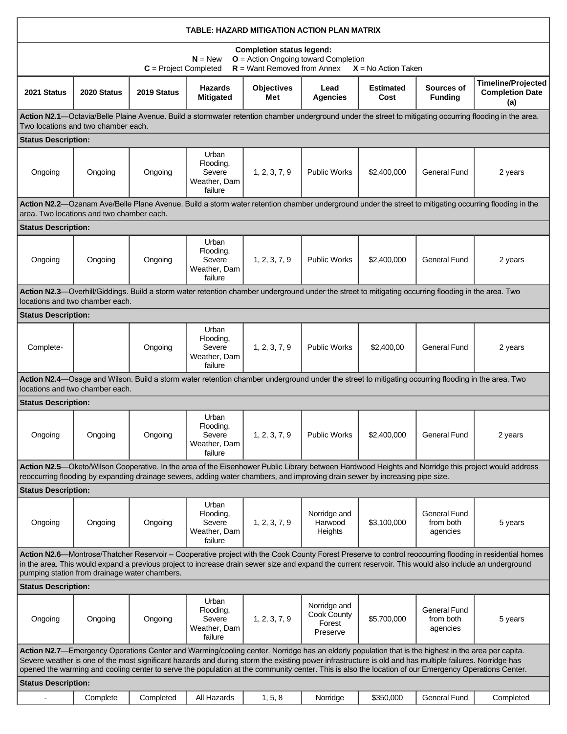| TABLE: HAZARD MITIGATION ACTION PLAN MATRIX                                                                                                                                                                                                                                                                                                                                                                                                                           |                                 |             |                                                         |                                                                                                                                                    |                                                   |                          |                                              |                                                            |  |  |  |  |
|-----------------------------------------------------------------------------------------------------------------------------------------------------------------------------------------------------------------------------------------------------------------------------------------------------------------------------------------------------------------------------------------------------------------------------------------------------------------------|---------------------------------|-------------|---------------------------------------------------------|----------------------------------------------------------------------------------------------------------------------------------------------------|---------------------------------------------------|--------------------------|----------------------------------------------|------------------------------------------------------------|--|--|--|--|
| <b>Completion status legend:</b><br><b>O</b> = Action Ongoing toward Completion<br>$N = New$<br>$R =$ Want Removed from Annex<br>$C = Project Completed$<br>$X = No$ Action Taken                                                                                                                                                                                                                                                                                     |                                 |             |                                                         |                                                                                                                                                    |                                                   |                          |                                              |                                                            |  |  |  |  |
| 2021 Status                                                                                                                                                                                                                                                                                                                                                                                                                                                           | 2020 Status                     | 2019 Status | <b>Hazards</b><br><b>Mitigated</b>                      | <b>Objectives</b><br>Met                                                                                                                           | Lead<br><b>Agencies</b>                           | <b>Estimated</b><br>Cost | Sources of<br><b>Funding</b>                 | <b>Timeline/Projected</b><br><b>Completion Date</b><br>(a) |  |  |  |  |
| Action N2.1—Octavia/Belle Plaine Avenue. Build a stormwater retention chamber underground under the street to mitigating occurring flooding in the area.<br>Two locations and two chamber each.                                                                                                                                                                                                                                                                       |                                 |             |                                                         |                                                                                                                                                    |                                                   |                          |                                              |                                                            |  |  |  |  |
| <b>Status Description:</b>                                                                                                                                                                                                                                                                                                                                                                                                                                            |                                 |             |                                                         |                                                                                                                                                    |                                                   |                          |                                              |                                                            |  |  |  |  |
| Ongoing                                                                                                                                                                                                                                                                                                                                                                                                                                                               | Ongoing                         | Ongoing     | Urban<br>Flooding,<br>Severe<br>Weather, Dam<br>failure | 1, 2, 3, 7, 9                                                                                                                                      | <b>Public Works</b>                               | \$2,400,000              | <b>General Fund</b>                          | 2 years                                                    |  |  |  |  |
| Action N2.2-Ozanam Ave/Belle Plane Avenue. Build a storm water retention chamber underground under the street to mitigating occurring flooding in the<br>area. Two locations and two chamber each.                                                                                                                                                                                                                                                                    |                                 |             |                                                         |                                                                                                                                                    |                                                   |                          |                                              |                                                            |  |  |  |  |
| <b>Status Description:</b>                                                                                                                                                                                                                                                                                                                                                                                                                                            |                                 |             |                                                         |                                                                                                                                                    |                                                   |                          |                                              |                                                            |  |  |  |  |
| Ongoing                                                                                                                                                                                                                                                                                                                                                                                                                                                               | Ongoing                         | Ongoing     | Urban<br>Flooding,<br>Severe<br>Weather, Dam<br>failure | 1, 2, 3, 7, 9                                                                                                                                      | <b>Public Works</b>                               | \$2,400,000              | <b>General Fund</b>                          | 2 years                                                    |  |  |  |  |
| Action N2.3—Overhill/Giddings. Build a storm water retention chamber underground under the street to mitigating occurring flooding in the area. Two<br>locations and two chamber each.                                                                                                                                                                                                                                                                                |                                 |             |                                                         |                                                                                                                                                    |                                                   |                          |                                              |                                                            |  |  |  |  |
| <b>Status Description:</b>                                                                                                                                                                                                                                                                                                                                                                                                                                            |                                 |             |                                                         |                                                                                                                                                    |                                                   |                          |                                              |                                                            |  |  |  |  |
| Complete-                                                                                                                                                                                                                                                                                                                                                                                                                                                             |                                 | Ongoing     | Urban<br>Flooding,<br>Severe<br>Weather, Dam<br>failure | 1, 2, 3, 7, 9                                                                                                                                      | <b>Public Works</b>                               | \$2,400,00               | <b>General Fund</b>                          | 2 years                                                    |  |  |  |  |
|                                                                                                                                                                                                                                                                                                                                                                                                                                                                       | locations and two chamber each. |             |                                                         | Action N2.4—Osage and Wilson. Build a storm water retention chamber underground under the street to mitigating occurring flooding in the area. Two |                                                   |                          |                                              |                                                            |  |  |  |  |
| <b>Status Description:</b>                                                                                                                                                                                                                                                                                                                                                                                                                                            |                                 |             |                                                         |                                                                                                                                                    |                                                   |                          |                                              |                                                            |  |  |  |  |
| Ongoing                                                                                                                                                                                                                                                                                                                                                                                                                                                               | Ongoing                         | Ongoing     | Urban<br>Flooding,<br>Severe<br>Weather, Dam<br>failure | 1, 2, 3, 7, 9                                                                                                                                      | Public Works                                      | \$2,400,000              | General Fund                                 | 2 years                                                    |  |  |  |  |
| Action N2.5—Oketo/Wilson Cooperative. In the area of the Eisenhower Public Library between Hardwood Heights and Norridge this project would address<br>reoccurring flooding by expanding drainage sewers, adding water chambers, and improving drain sewer by increasing pipe size.                                                                                                                                                                                   |                                 |             |                                                         |                                                                                                                                                    |                                                   |                          |                                              |                                                            |  |  |  |  |
| <b>Status Description:</b>                                                                                                                                                                                                                                                                                                                                                                                                                                            |                                 |             |                                                         |                                                                                                                                                    |                                                   |                          |                                              |                                                            |  |  |  |  |
| Ongoing                                                                                                                                                                                                                                                                                                                                                                                                                                                               | Ongoing                         | Ongoing     | Urban<br>Flooding,<br>Severe<br>Weather, Dam<br>failure | 1, 2, 3, 7, 9                                                                                                                                      | Norridge and<br>Harwood<br>Heights                | \$3,100,000              | <b>General Fund</b><br>from both<br>agencies | 5 years                                                    |  |  |  |  |
| Action N2.6-Montrose/Thatcher Reservoir - Cooperative project with the Cook County Forest Preserve to control reoccurring flooding in residential homes<br>in the area. This would expand a previous project to increase drain sewer size and expand the current reservoir. This would also include an underground<br>pumping station from drainage water chambers.                                                                                                   |                                 |             |                                                         |                                                                                                                                                    |                                                   |                          |                                              |                                                            |  |  |  |  |
| <b>Status Description:</b>                                                                                                                                                                                                                                                                                                                                                                                                                                            |                                 |             |                                                         |                                                                                                                                                    |                                                   |                          |                                              |                                                            |  |  |  |  |
| Ongoing                                                                                                                                                                                                                                                                                                                                                                                                                                                               | Ongoing                         | Ongoing     | Urban<br>Flooding,<br>Severe<br>Weather, Dam<br>failure | 1, 2, 3, 7, 9                                                                                                                                      | Norridge and<br>Cook County<br>Forest<br>Preserve | \$5,700,000              | General Fund<br>from both<br>agencies        | 5 years                                                    |  |  |  |  |
| Action N2.7—Emergency Operations Center and Warming/cooling center. Norridge has an elderly population that is the highest in the area per capita.<br>Severe weather is one of the most significant hazards and during storm the existing power infrastructure is old and has multiple failures. Norridge has<br>opened the warming and cooling center to serve the population at the community center. This is also the location of our Emergency Operations Center. |                                 |             |                                                         |                                                                                                                                                    |                                                   |                          |                                              |                                                            |  |  |  |  |
| <b>Status Description:</b>                                                                                                                                                                                                                                                                                                                                                                                                                                            |                                 |             |                                                         |                                                                                                                                                    |                                                   |                          |                                              |                                                            |  |  |  |  |
|                                                                                                                                                                                                                                                                                                                                                                                                                                                                       | Complete                        | Completed   | All Hazards                                             | 1, 5, 8                                                                                                                                            | Norridge                                          | \$350,000                | General Fund                                 | Completed                                                  |  |  |  |  |